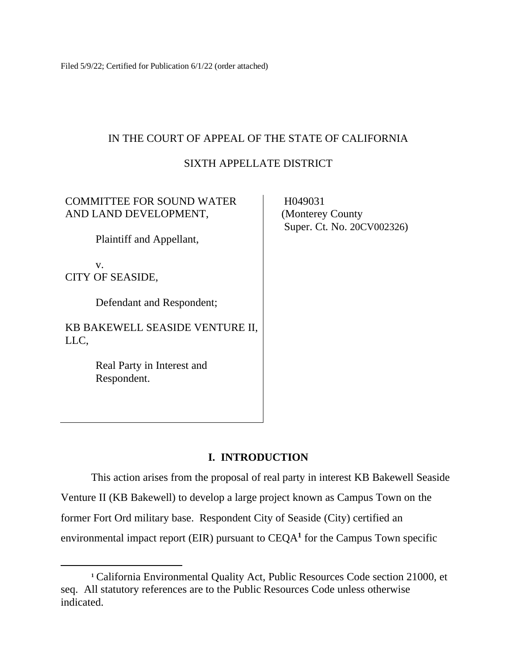Filed 5/9/22; Certified for Publication 6/1/22 (order attached)

## IN THE COURT OF APPEAL OF THE STATE OF CALIFORNIA

## SIXTH APPELLATE DISTRICT

## COMMITTEE FOR SOUND WATER AND LAND DEVELOPMENT,

Plaintiff and Appellant,

v. CITY OF SEASIDE,

Defendant and Respondent;

KB BAKEWELL SEASIDE VENTURE II, LLC,

> Real Party in Interest and Respondent.

 H049031 (Monterey County Super. Ct. No. 20CV002326)

## **I. INTRODUCTION**

This action arises from the proposal of real party in interest KB Bakewell Seaside Venture II (KB Bakewell) to develop a large project known as Campus Town on the former Fort Ord military base. Respondent City of Seaside (City) certified an environmental impact report (EIR) pursuant to CEQA**<sup>1</sup>** for the Campus Town specific

**<sup>1</sup>** California Environmental Quality Act, Public Resources Code section 21000, et seq. All statutory references are to the Public Resources Code unless otherwise indicated.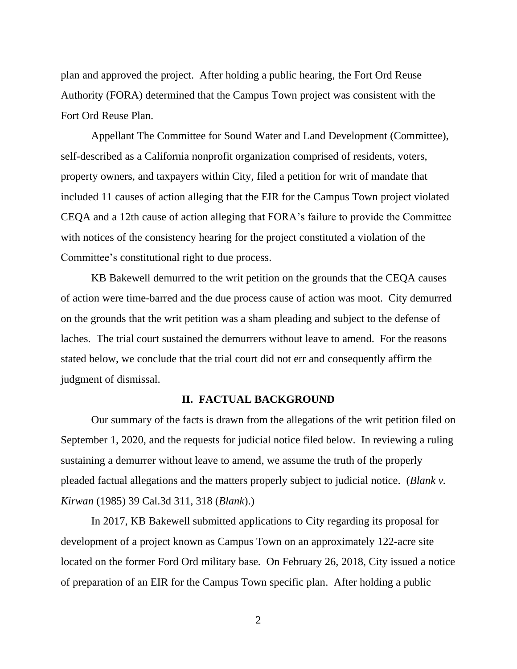plan and approved the project. After holding a public hearing, the Fort Ord Reuse Authority (FORA) determined that the Campus Town project was consistent with the Fort Ord Reuse Plan.

Appellant The Committee for Sound Water and Land Development (Committee), self-described as a California nonprofit organization comprised of residents, voters, property owners, and taxpayers within City, filed a petition for writ of mandate that included 11 causes of action alleging that the EIR for the Campus Town project violated CEQA and a 12th cause of action alleging that FORA's failure to provide the Committee with notices of the consistency hearing for the project constituted a violation of the Committee's constitutional right to due process.

KB Bakewell demurred to the writ petition on the grounds that the CEQA causes of action were time-barred and the due process cause of action was moot. City demurred on the grounds that the writ petition was a sham pleading and subject to the defense of laches. The trial court sustained the demurrers without leave to amend. For the reasons stated below, we conclude that the trial court did not err and consequently affirm the judgment of dismissal.

#### **II. FACTUAL BACKGROUND**

Our summary of the facts is drawn from the allegations of the writ petition filed on September 1, 2020, and the requests for judicial notice filed below. In reviewing a ruling sustaining a demurrer without leave to amend, we assume the truth of the properly pleaded factual allegations and the matters properly subject to judicial notice. (*Blank v. Kirwan* (1985) 39 Cal.3d 311, 318 (*Blank*).)

In 2017, KB Bakewell submitted applications to City regarding its proposal for development of a project known as Campus Town on an approximately 122-acre site located on the former Ford Ord military base*.* On February 26, 2018, City issued a notice of preparation of an EIR for the Campus Town specific plan. After holding a public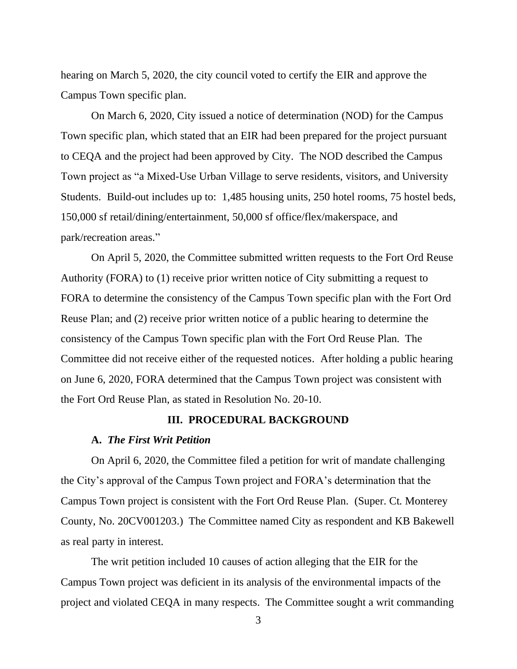hearing on March 5, 2020, the city council voted to certify the EIR and approve the Campus Town specific plan.

On March 6, 2020, City issued a notice of determination (NOD) for the Campus Town specific plan, which stated that an EIR had been prepared for the project pursuant to CEQA and the project had been approved by City. The NOD described the Campus Town project as "a Mixed-Use Urban Village to serve residents, visitors, and University Students. Build-out includes up to: 1,485 housing units, 250 hotel rooms, 75 hostel beds, 150,000 sf retail/dining/entertainment, 50,000 sf office/flex/makerspace, and park/recreation areas."

On April 5, 2020, the Committee submitted written requests to the Fort Ord Reuse Authority (FORA) to (1) receive prior written notice of City submitting a request to FORA to determine the consistency of the Campus Town specific plan with the Fort Ord Reuse Plan; and (2) receive prior written notice of a public hearing to determine the consistency of the Campus Town specific plan with the Fort Ord Reuse Plan. The Committee did not receive either of the requested notices. After holding a public hearing on June 6, 2020, FORA determined that the Campus Town project was consistent with the Fort Ord Reuse Plan, as stated in Resolution No. 20-10.

## **III. PROCEDURAL BACKGROUND**

#### **A.** *The First Writ Petition*

On April 6, 2020, the Committee filed a petition for writ of mandate challenging the City's approval of the Campus Town project and FORA's determination that the Campus Town project is consistent with the Fort Ord Reuse Plan. (Super. Ct. Monterey County, No. 20CV001203.) The Committee named City as respondent and KB Bakewell as real party in interest.

The writ petition included 10 causes of action alleging that the EIR for the Campus Town project was deficient in its analysis of the environmental impacts of the project and violated CEQA in many respects. The Committee sought a writ commanding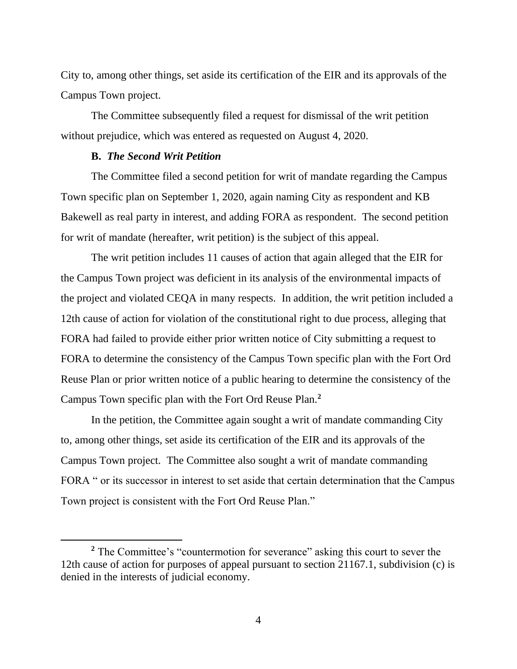City to, among other things, set aside its certification of the EIR and its approvals of the Campus Town project.

The Committee subsequently filed a request for dismissal of the writ petition without prejudice, which was entered as requested on August 4, 2020.

## **B.** *The Second Writ Petition*

The Committee filed a second petition for writ of mandate regarding the Campus Town specific plan on September 1, 2020, again naming City as respondent and KB Bakewell as real party in interest, and adding FORA as respondent. The second petition for writ of mandate (hereafter, writ petition) is the subject of this appeal.

The writ petition includes 11 causes of action that again alleged that the EIR for the Campus Town project was deficient in its analysis of the environmental impacts of the project and violated CEQA in many respects. In addition, the writ petition included a 12th cause of action for violation of the constitutional right to due process, alleging that FORA had failed to provide either prior written notice of City submitting a request to FORA to determine the consistency of the Campus Town specific plan with the Fort Ord Reuse Plan or prior written notice of a public hearing to determine the consistency of the Campus Town specific plan with the Fort Ord Reuse Plan.**<sup>2</sup>**

In the petition, the Committee again sought a writ of mandate commanding City to, among other things, set aside its certification of the EIR and its approvals of the Campus Town project. The Committee also sought a writ of mandate commanding FORA " or its successor in interest to set aside that certain determination that the Campus Town project is consistent with the Fort Ord Reuse Plan."

<sup>&</sup>lt;sup>2</sup> The Committee's "countermotion for severance" asking this court to sever the 12th cause of action for purposes of appeal pursuant to section 21167.1, subdivision (c) is denied in the interests of judicial economy.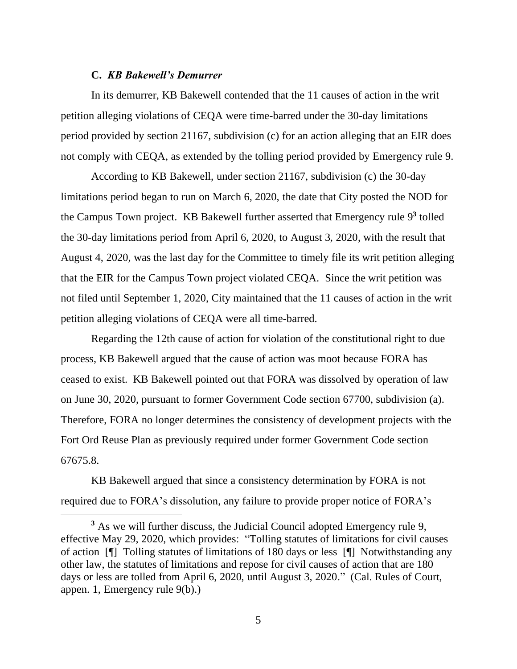## **C.** *KB Bakewell's Demurrer*

In its demurrer, KB Bakewell contended that the 11 causes of action in the writ petition alleging violations of CEQA were time-barred under the 30-day limitations period provided by section 21167, subdivision (c) for an action alleging that an EIR does not comply with CEQA, as extended by the tolling period provided by Emergency rule 9.

According to KB Bakewell, under section 21167, subdivision (c) the 30-day limitations period began to run on March 6, 2020, the date that City posted the NOD for the Campus Town project. KB Bakewell further asserted that Emergency rule 9 **3** tolled the 30-day limitations period from April 6, 2020, to August 3, 2020, with the result that August 4, 2020, was the last day for the Committee to timely file its writ petition alleging that the EIR for the Campus Town project violated CEQA. Since the writ petition was not filed until September 1, 2020, City maintained that the 11 causes of action in the writ petition alleging violations of CEQA were all time-barred.

Regarding the 12th cause of action for violation of the constitutional right to due process, KB Bakewell argued that the cause of action was moot because FORA has ceased to exist. KB Bakewell pointed out that FORA was dissolved by operation of law on June 30, 2020, pursuant to former Government Code section 67700, subdivision (a). Therefore, FORA no longer determines the consistency of development projects with the Fort Ord Reuse Plan as previously required under former Government Code section 67675.8.

KB Bakewell argued that since a consistency determination by FORA is not required due to FORA's dissolution, any failure to provide proper notice of FORA's

**<sup>3</sup>** As we will further discuss, the Judicial Council adopted Emergency rule 9, effective May 29, 2020, which provides: "Tolling statutes of limitations for civil causes of action [¶] Tolling statutes of limitations of 180 days or less [¶] Notwithstanding any other law, the statutes of limitations and repose for civil causes of action that are 180 days or less are tolled from April 6, 2020, until August 3, 2020." (Cal. Rules of Court, appen. 1, Emergency rule 9(b).)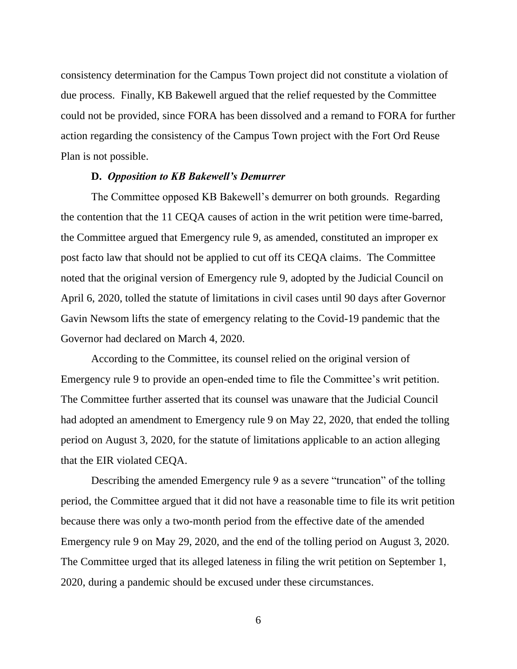consistency determination for the Campus Town project did not constitute a violation of due process. Finally, KB Bakewell argued that the relief requested by the Committee could not be provided, since FORA has been dissolved and a remand to FORA for further action regarding the consistency of the Campus Town project with the Fort Ord Reuse Plan is not possible.

#### **D.** *Opposition to KB Bakewell's Demurrer*

The Committee opposed KB Bakewell's demurrer on both grounds. Regarding the contention that the 11 CEQA causes of action in the writ petition were time-barred, the Committee argued that Emergency rule 9, as amended, constituted an improper ex post facto law that should not be applied to cut off its CEQA claims. The Committee noted that the original version of Emergency rule 9, adopted by the Judicial Council on April 6, 2020, tolled the statute of limitations in civil cases until 90 days after Governor Gavin Newsom lifts the state of emergency relating to the Covid-19 pandemic that the Governor had declared on March 4, 2020.

According to the Committee, its counsel relied on the original version of Emergency rule 9 to provide an open-ended time to file the Committee's writ petition. The Committee further asserted that its counsel was unaware that the Judicial Council had adopted an amendment to Emergency rule 9 on May 22, 2020, that ended the tolling period on August 3, 2020, for the statute of limitations applicable to an action alleging that the EIR violated CEQA.

Describing the amended Emergency rule 9 as a severe "truncation" of the tolling period, the Committee argued that it did not have a reasonable time to file its writ petition because there was only a two-month period from the effective date of the amended Emergency rule 9 on May 29, 2020, and the end of the tolling period on August 3, 2020. The Committee urged that its alleged lateness in filing the writ petition on September 1, 2020, during a pandemic should be excused under these circumstances.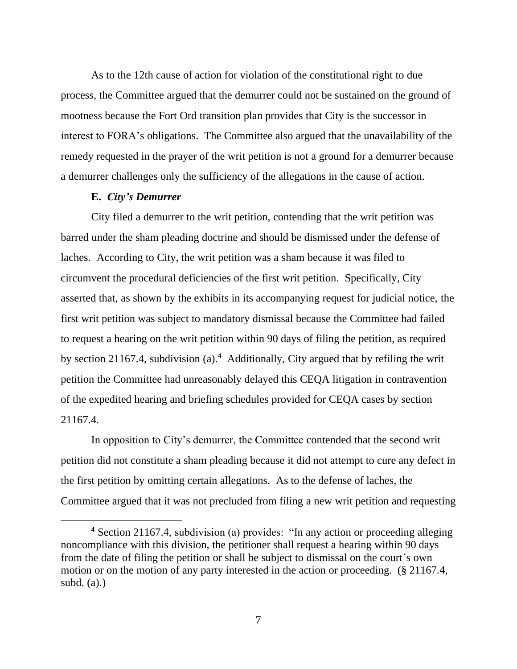As to the 12th cause of action for violation of the constitutional right to due process, the Committee argued that the demurrer could not be sustained on the ground of mootness because the Fort Ord transition plan provides that City is the successor in interest to FORA's obligations. The Committee also argued that the unavailability of the remedy requested in the prayer of the writ petition is not a ground for a demurrer because a demurrer challenges only the sufficiency of the allegations in the cause of action.

#### **E.** *City's Demurrer*

City filed a demurrer to the writ petition, contending that the writ petition was barred under the sham pleading doctrine and should be dismissed under the defense of laches. According to City, the writ petition was a sham because it was filed to circumvent the procedural deficiencies of the first writ petition. Specifically, City asserted that, as shown by the exhibits in its accompanying request for judicial notice, the first writ petition was subject to mandatory dismissal because the Committee had failed to request a hearing on the writ petition within 90 days of filing the petition, as required by section 21167.4, subdivision (a).**<sup>4</sup>** Additionally, City argued that by refiling the writ petition the Committee had unreasonably delayed this CEQA litigation in contravention of the expedited hearing and briefing schedules provided for CEQA cases by section 21167.4.

In opposition to City's demurrer, the Committee contended that the second writ petition did not constitute a sham pleading because it did not attempt to cure any defect in the first petition by omitting certain allegations. As to the defense of laches, the Committee argued that it was not precluded from filing a new writ petition and requesting

**<sup>4</sup>** Section 21167.4, subdivision (a) provides: "In any action or proceeding alleging noncompliance with this division, the petitioner shall request a hearing within 90 days from the date of filing the petition or shall be subject to dismissal on the court's own motion or on the motion of any party interested in the action or proceeding. (§ 21167.4, subd. (a).)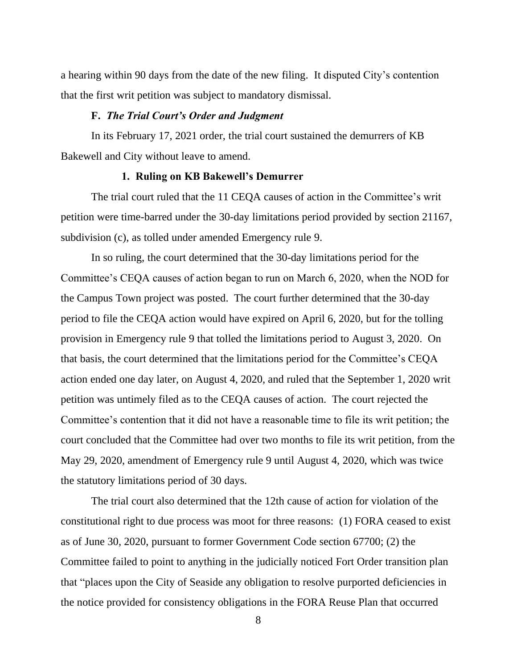a hearing within 90 days from the date of the new filing. It disputed City's contention that the first writ petition was subject to mandatory dismissal.

#### **F.** *The Trial Court's Order and Judgment*

In its February 17, 2021 order, the trial court sustained the demurrers of KB Bakewell and City without leave to amend.

## **1. Ruling on KB Bakewell's Demurrer**

The trial court ruled that the 11 CEQA causes of action in the Committee's writ petition were time-barred under the 30-day limitations period provided by section 21167, subdivision (c), as tolled under amended Emergency rule 9.

In so ruling, the court determined that the 30-day limitations period for the Committee's CEQA causes of action began to run on March 6, 2020, when the NOD for the Campus Town project was posted. The court further determined that the 30-day period to file the CEQA action would have expired on April 6, 2020, but for the tolling provision in Emergency rule 9 that tolled the limitations period to August 3, 2020. On that basis, the court determined that the limitations period for the Committee's CEQA action ended one day later, on August 4, 2020, and ruled that the September 1, 2020 writ petition was untimely filed as to the CEQA causes of action. The court rejected the Committee's contention that it did not have a reasonable time to file its writ petition; the court concluded that the Committee had over two months to file its writ petition, from the May 29, 2020, amendment of Emergency rule 9 until August 4, 2020, which was twice the statutory limitations period of 30 days.

The trial court also determined that the 12th cause of action for violation of the constitutional right to due process was moot for three reasons: (1) FORA ceased to exist as of June 30, 2020, pursuant to former Government Code section 67700; (2) the Committee failed to point to anything in the judicially noticed Fort Order transition plan that "places upon the City of Seaside any obligation to resolve purported deficiencies in the notice provided for consistency obligations in the FORA Reuse Plan that occurred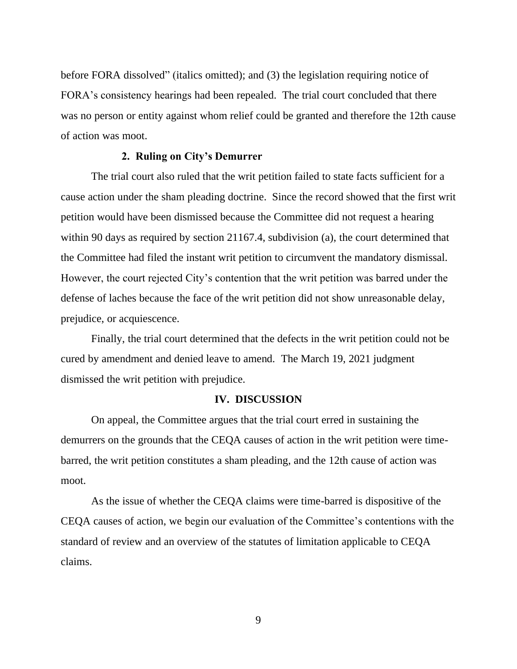before FORA dissolved" (italics omitted); and (3) the legislation requiring notice of FORA's consistency hearings had been repealed. The trial court concluded that there was no person or entity against whom relief could be granted and therefore the 12th cause of action was moot.

## **2. Ruling on City's Demurrer**

The trial court also ruled that the writ petition failed to state facts sufficient for a cause action under the sham pleading doctrine. Since the record showed that the first writ petition would have been dismissed because the Committee did not request a hearing within 90 days as required by section 21167.4, subdivision (a), the court determined that the Committee had filed the instant writ petition to circumvent the mandatory dismissal. However, the court rejected City's contention that the writ petition was barred under the defense of laches because the face of the writ petition did not show unreasonable delay, prejudice, or acquiescence.

Finally, the trial court determined that the defects in the writ petition could not be cured by amendment and denied leave to amend. The March 19, 2021 judgment dismissed the writ petition with prejudice.

#### **IV. DISCUSSION**

On appeal, the Committee argues that the trial court erred in sustaining the demurrers on the grounds that the CEQA causes of action in the writ petition were timebarred, the writ petition constitutes a sham pleading, and the 12th cause of action was moot.

As the issue of whether the CEQA claims were time-barred is dispositive of the CEQA causes of action, we begin our evaluation of the Committee's contentions with the standard of review and an overview of the statutes of limitation applicable to CEQA claims.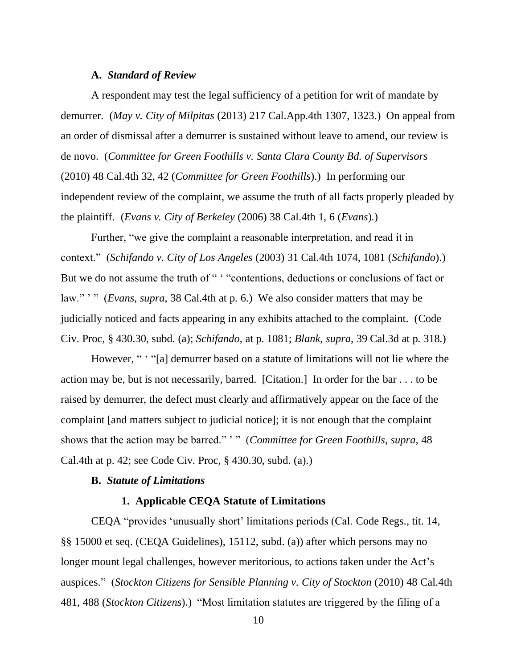#### **A.** *Standard of Review*

A respondent may test the legal sufficiency of a petition for writ of mandate by demurrer. (*May v. City of Milpitas* (2013) 217 Cal.App.4th 1307, 1323.) On appeal from an order of dismissal after a demurrer is sustained without leave to amend, our review is de novo. (*Committee for Green Foothills v. Santa Clara County Bd. of Supervisors*  (2010) 48 Cal.4th 32, 42 (*Committee for Green Foothills*).) In performing our independent review of the complaint, we assume the truth of all facts properly pleaded by the plaintiff. (*Evans v. City of Berkeley* (2006) 38 Cal.4th 1, 6 (*Evans*).)

Further, "we give the complaint a reasonable interpretation, and read it in context." (*Schifando v. City of Los Angeles* (2003) 31 Cal.4th 1074, 1081 (*Schifando*).) But we do not assume the truth of " "contentions, deductions or conclusions of fact or law." ' " (*Evans*, *supra*, 38 Cal.4th at p. 6.) We also consider matters that may be judicially noticed and facts appearing in any exhibits attached to the complaint. (Code Civ. Proc, § 430.30, subd. (a); *Schifando*, at p. 1081; *Blank*, *supra*, 39 Cal.3d at p. 318.)

However, " ' "[a] demurrer based on a statute of limitations will not lie where the action may be, but is not necessarily, barred. [Citation.] In order for the bar . . . to be raised by demurrer, the defect must clearly and affirmatively appear on the face of the complaint [and matters subject to judicial notice]; it is not enough that the complaint shows that the action may be barred." ' " (*Committee for Green Foothills, supra,* 48 Cal.4th at p. 42; see Code Civ. Proc, § 430.30, subd. (a).)

## **B.** *Statute of Limitations*

#### **1. Applicable CEQA Statute of Limitations**

CEQA "provides 'unusually short' limitations periods (Cal. Code Regs., tit. 14, §§ 15000 et seq. (CEQA Guidelines), 15112, subd. (a)) after which persons may no longer mount legal challenges, however meritorious, to actions taken under the Act's auspices." (*Stockton Citizens for Sensible Planning v. City of Stockton* (2010) 48 Cal.4th 481, 488 (*Stockton Citizens*).) "Most limitation statutes are triggered by the filing of a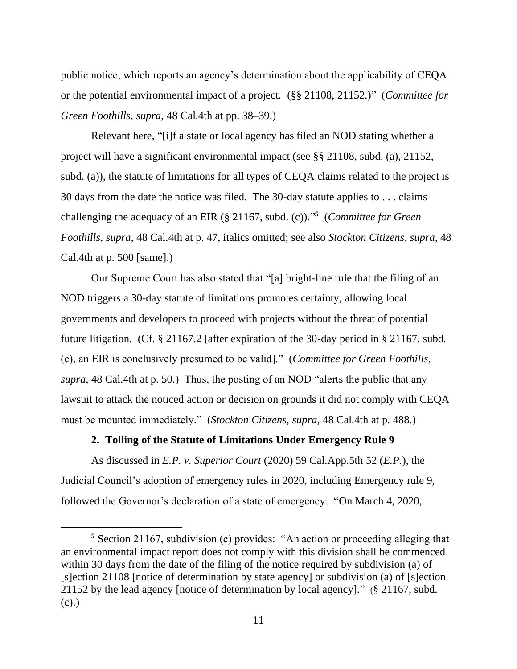public notice, which reports an agency's determination about the applicability of CEQA or the potential environmental impact of a project. (§§ 21108, 21152.)" (*Committee for Green Foothills*, *supra*, 48 Cal.4th at pp. 38–39.)

Relevant here, "[i]f a state or local agency has filed an NOD stating whether a project will have a significant environmental impact (see §§ 21108, subd. (a), 21152, subd. (a)), the statute of limitations for all types of CEQA claims related to the project is 30 days from the date the notice was filed. The 30-day statute applies to . . . claims challenging the adequacy of an EIR (§ 21167, subd. (c))."**<sup>5</sup>** (*Committee for Green Foothills*, *supra,* 48 Cal.4th at p. 47, italics omitted; see also *Stockton Citizens*, *supra,* 48 Cal.4th at p. 500 [same].)

Our Supreme Court has also stated that "[a] bright-line rule that the filing of an NOD triggers a 30-day statute of limitations promotes certainty, allowing local governments and developers to proceed with projects without the threat of potential future litigation. (Cf. § 21167.2 [after expiration of the 30-day period in § 21167, subd. (c), an EIR is conclusively presumed to be valid]." (*Committee for Green Foothills*, *supra*, 48 Cal.4th at p. 50.) Thus, the posting of an NOD "alerts the public that any lawsuit to attack the noticed action or decision on grounds it did not comply with CEQA must be mounted immediately." (*Stockton Citizens, supra*, 48 Cal.4th at p. 488.)

## **2. Tolling of the Statute of Limitations Under Emergency Rule 9**

As discussed in *E.P. v. Superior Court* (2020) 59 Cal.App.5th 52 (*E.P.*), the Judicial Council's adoption of emergency rules in 2020, including Emergency rule 9, followed the Governor's declaration of a state of emergency: "On March 4, 2020,

**<sup>5</sup>** Section 21167, subdivision (c) provides: "An action or proceeding alleging that an environmental impact report does not comply with this division shall be commenced within 30 days from the date of the filing of the notice required by subdivision (a) of [s]ection 21108 [notice of determination by state agency] or subdivision (a) of [s]ection 21152 by the lead agency [notice of determination by local agency]." (§ 21167, subd. (c).)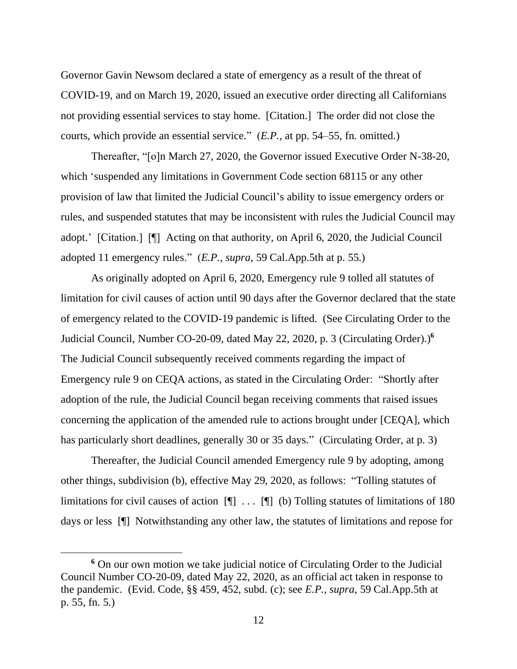Governor Gavin Newsom declared a state of emergency as a result of the threat of COVID-19, and on March 19, 2020, issued an executive order directing all Californians not providing essential services to stay home. [Citation.] The order did not close the courts, which provide an essential service." (*E.P.*, at pp. 54–55, fn. omitted.)

Thereafter, "[o]n March 27, 2020, the Governor issued Executive Order N-38-20, which 'suspended any limitations in Government Code section 68115 or any other provision of law that limited the Judicial Council's ability to issue emergency orders or rules, and suspended statutes that may be inconsistent with rules the Judicial Council may adopt.' [Citation.] [¶] Acting on that authority, on April 6, 2020, the Judicial Council adopted 11 emergency rules." (*E.P.*, *supra*, 59 Cal.App.5th at p. 55.)

As originally adopted on April 6, 2020, Emergency rule 9 tolled all statutes of limitation for civil causes of action until 90 days after the Governor declared that the state of emergency related to the COVID-19 pandemic is lifted. (See Circulating Order to the Judicial Council, Number CO-20-09, dated May 22, 2020, p. 3 (Circulating Order).) **6** The Judicial Council subsequently received comments regarding the impact of Emergency rule 9 on CEQA actions, as stated in the Circulating Order: "Shortly after adoption of the rule, the Judicial Council began receiving comments that raised issues concerning the application of the amended rule to actions brought under [CEQA], which has particularly short deadlines, generally 30 or 35 days." (Circulating Order, at p. 3)

Thereafter, the Judicial Council amended Emergency rule 9 by adopting, among other things, subdivision (b), effective May 29, 2020, as follows: "Tolling statutes of limitations for civil causes of action  $[\n\P]$ ...  $[\n\P]$  (b) Tolling statutes of limitations of 180 days or less [¶] Notwithstanding any other law, the statutes of limitations and repose for

**<sup>6</sup>** On our own motion we take judicial notice of Circulating Order to the Judicial Council Number CO-20-09, dated May 22, 2020, as an official act taken in response to the pandemic. (Evid. Code, §§ 459, 452, subd. (c); see *E.P.*, *supra*, 59 Cal.App.5th at p. 55, fn. 5.)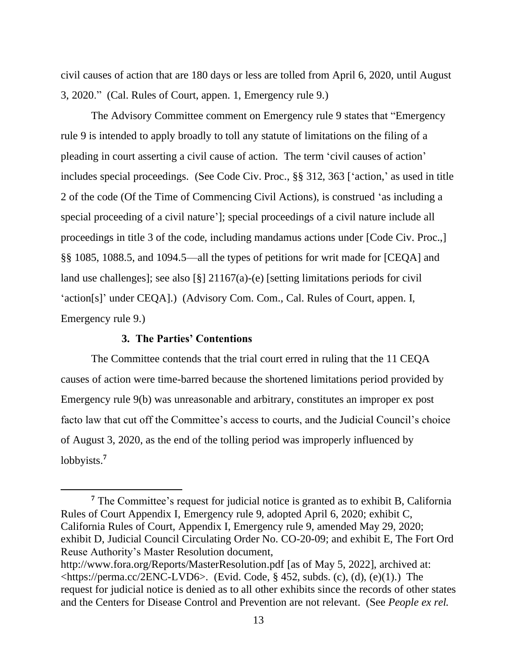civil causes of action that are 180 days or less are tolled from April 6, 2020, until August 3, 2020." (Cal. Rules of Court, appen. 1, Emergency rule 9.)

The Advisory Committee comment on Emergency rule 9 states that "Emergency rule 9 is intended to apply broadly to toll any statute of limitations on the filing of a pleading in court asserting a civil cause of action. The term 'civil causes of action' includes special proceedings. (See Code Civ. Proc., §§ 312, 363 ['action,' as used in title 2 of the code (Of the Time of Commencing Civil Actions), is construed 'as including a special proceeding of a civil nature']; special proceedings of a civil nature include all proceedings in title 3 of the code, including mandamus actions under [Code Civ. Proc.,] §§ 1085, 1088.5, and 1094.5—all the types of petitions for writ made for [CEQA] and land use challenges]; see also [§]  $21167(a)$ -(e) [setting limitations periods for civil 'action[s]' under CEQA].) (Advisory Com. Com., Cal. Rules of Court, appen. I, Emergency rule 9.)

## **3. The Parties' Contentions**

The Committee contends that the trial court erred in ruling that the 11 CEQA causes of action were time-barred because the shortened limitations period provided by Emergency rule 9(b) was unreasonable and arbitrary, constitutes an improper ex post facto law that cut off the Committee's access to courts, and the Judicial Council's choice of August 3, 2020, as the end of the tolling period was improperly influenced by lobbyists.**<sup>7</sup>**

**<sup>7</sup>** The Committee's request for judicial notice is granted as to exhibit B, California Rules of Court Appendix I, Emergency rule 9, adopted April 6, 2020; exhibit C, California Rules of Court, Appendix I, Emergency rule 9, amended May 29, 2020; exhibit D, Judicial Council Circulating Order No. CO-20-09; and exhibit E, The Fort Ord Reuse Authority's Master Resolution document, http://www.fora.org/Reports/MasterResolution.pdf [as of May 5, 2022], archived at:

 $\lt$ https://perma.cc/2ENC-LVD6>. (Evid. Code, § 452, subds. (c), (d), (e)(1).) The request for judicial notice is denied as to all other exhibits since the records of other states and the Centers for Disease Control and Prevention are not relevant. (See *People ex rel.*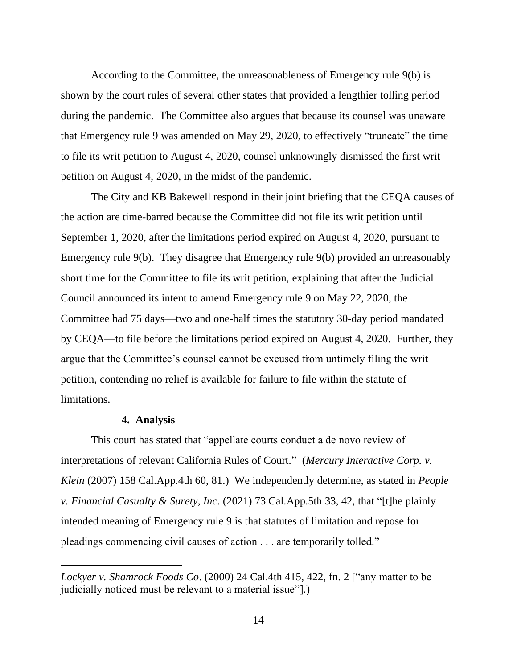According to the Committee, the unreasonableness of Emergency rule 9(b) is shown by the court rules of several other states that provided a lengthier tolling period during the pandemic. The Committee also argues that because its counsel was unaware that Emergency rule 9 was amended on May 29, 2020, to effectively "truncate" the time to file its writ petition to August 4, 2020, counsel unknowingly dismissed the first writ petition on August 4, 2020, in the midst of the pandemic.

The City and KB Bakewell respond in their joint briefing that the CEQA causes of the action are time-barred because the Committee did not file its writ petition until September 1, 2020, after the limitations period expired on August 4, 2020, pursuant to Emergency rule 9(b). They disagree that Emergency rule 9(b) provided an unreasonably short time for the Committee to file its writ petition, explaining that after the Judicial Council announced its intent to amend Emergency rule 9 on May 22, 2020, the Committee had 75 days—two and one-half times the statutory 30-day period mandated by CEQA—to file before the limitations period expired on August 4, 2020. Further, they argue that the Committee's counsel cannot be excused from untimely filing the writ petition, contending no relief is available for failure to file within the statute of limitations.

#### **4. Analysis**

This court has stated that "appellate courts conduct a de novo review of interpretations of relevant California Rules of Court." (*Mercury Interactive Corp. v. Klein* (2007) 158 Cal.App.4th 60, 81.) We independently determine, as stated in *People v. Financial Casualty & Surety, Inc*. (2021) 73 Cal.App.5th 33, 42, that "[t]he plainly intended meaning of Emergency rule 9 is that statutes of limitation and repose for pleadings commencing civil causes of action . . . are temporarily tolled."

*Lockyer v. Shamrock Foods Co*. (2000) 24 Cal.4th 415, 422, fn. 2 ["any matter to be judicially noticed must be relevant to a material issue"].)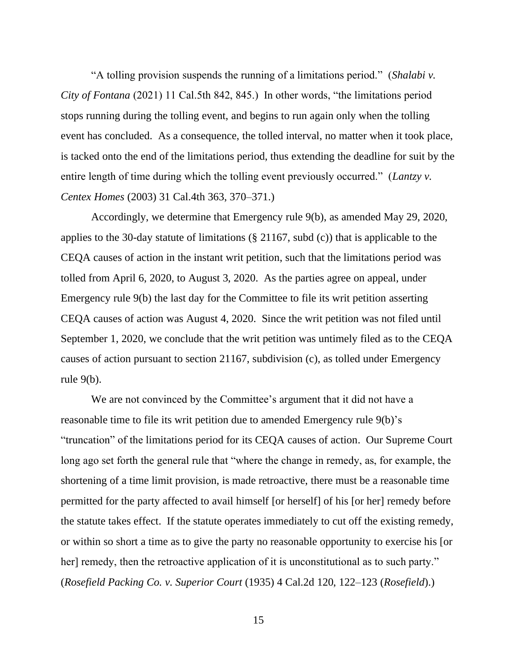"A tolling provision suspends the running of a limitations period." (*Shalabi v. City of Fontana* (2021) 11 Cal.5th 842, 845.) In other words, "the limitations period stops running during the tolling event, and begins to run again only when the tolling event has concluded. As a consequence, the tolled interval, no matter when it took place, is tacked onto the end of the limitations period, thus extending the deadline for suit by the entire length of time during which the tolling event previously occurred." (*Lantzy v. Centex Homes* (2003) 31 Cal.4th 363, 370–371.)

Accordingly, we determine that Emergency rule 9(b), as amended May 29, 2020, applies to the 30-day statute of limitations (§ 21167, subd (c)) that is applicable to the CEQA causes of action in the instant writ petition, such that the limitations period was tolled from April 6, 2020, to August 3, 2020. As the parties agree on appeal, under Emergency rule 9(b) the last day for the Committee to file its writ petition asserting CEQA causes of action was August 4, 2020. Since the writ petition was not filed until September 1, 2020, we conclude that the writ petition was untimely filed as to the CEQA causes of action pursuant to section 21167, subdivision (c), as tolled under Emergency rule 9(b).

We are not convinced by the Committee's argument that it did not have a reasonable time to file its writ petition due to amended Emergency rule 9(b)'s "truncation" of the limitations period for its CEQA causes of action. Our Supreme Court long ago set forth the general rule that "where the change in remedy, as, for example, the shortening of a time limit provision, is made retroactive, there must be a reasonable time permitted for the party affected to avail himself [or herself] of his [or her] remedy before the statute takes effect. If the statute operates immediately to cut off the existing remedy, or within so short a time as to give the party no reasonable opportunity to exercise his [or her] remedy, then the retroactive application of it is unconstitutional as to such party." (*Rosefield Packing Co. v. Superior Court* (1935) 4 Cal.2d 120, 122–123 (*Rosefield*).)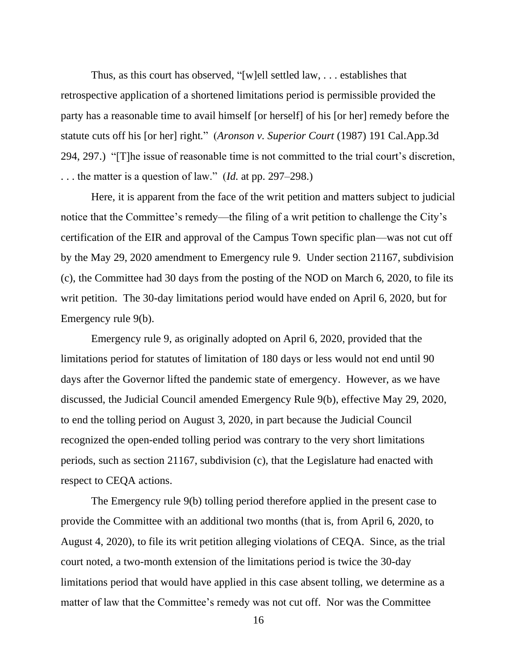Thus, as this court has observed, "[w]ell settled law, . . . establishes that retrospective application of a shortened limitations period is permissible provided the party has a reasonable time to avail himself [or herself] of his [or her] remedy before the statute cuts off his [or her] right." (*Aronson v. Superior Court* (1987) 191 Cal.App.3d 294, 297.) "[T]he issue of reasonable time is not committed to the trial court's discretion, . . . the matter is a question of law." (*Id*. at pp. 297–298.)

Here, it is apparent from the face of the writ petition and matters subject to judicial notice that the Committee's remedy—the filing of a writ petition to challenge the City's certification of the EIR and approval of the Campus Town specific plan—was not cut off by the May 29, 2020 amendment to Emergency rule 9. Under section 21167, subdivision (c), the Committee had 30 days from the posting of the NOD on March 6, 2020, to file its writ petition. The 30-day limitations period would have ended on April 6, 2020, but for Emergency rule 9(b).

Emergency rule 9, as originally adopted on April 6, 2020, provided that the limitations period for statutes of limitation of 180 days or less would not end until 90 days after the Governor lifted the pandemic state of emergency. However, as we have discussed, the Judicial Council amended Emergency Rule 9(b), effective May 29, 2020, to end the tolling period on August 3, 2020, in part because the Judicial Council recognized the open-ended tolling period was contrary to the very short limitations periods, such as section 21167, subdivision (c), that the Legislature had enacted with respect to CEQA actions.

The Emergency rule 9(b) tolling period therefore applied in the present case to provide the Committee with an additional two months (that is, from April 6, 2020, to August 4, 2020), to file its writ petition alleging violations of CEQA. Since, as the trial court noted, a two-month extension of the limitations period is twice the 30-day limitations period that would have applied in this case absent tolling, we determine as a matter of law that the Committee's remedy was not cut off. Nor was the Committee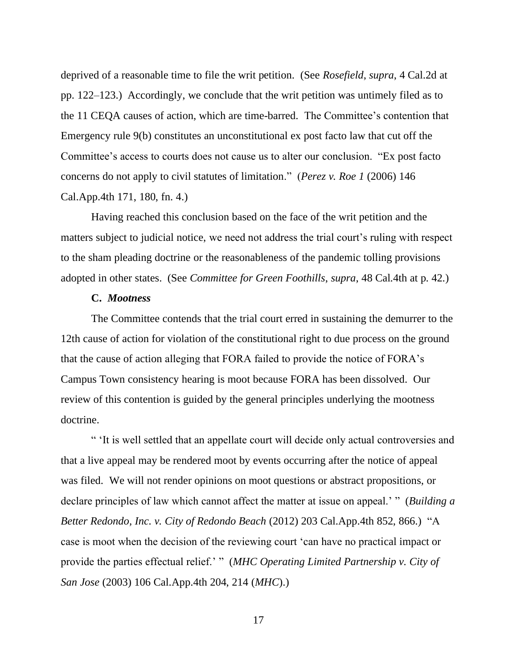deprived of a reasonable time to file the writ petition. (See *Rosefield*, *supra*, 4 Cal.2d at pp. 122–123.) Accordingly, we conclude that the writ petition was untimely filed as to the 11 CEQA causes of action, which are time-barred. The Committee's contention that Emergency rule 9(b) constitutes an unconstitutional ex post facto law that cut off the Committee's access to courts does not cause us to alter our conclusion. "Ex post facto concerns do not apply to civil statutes of limitation." (*Perez v. Roe 1* (2006) 146 Cal.App.4th 171, 180, fn. 4.)

Having reached this conclusion based on the face of the writ petition and the matters subject to judicial notice, we need not address the trial court's ruling with respect to the sham pleading doctrine or the reasonableness of the pandemic tolling provisions adopted in other states. (See *Committee for Green Foothills*, *supra*, 48 Cal.4th at p. 42.)

## **C.** *Mootness*

The Committee contends that the trial court erred in sustaining the demurrer to the 12th cause of action for violation of the constitutional right to due process on the ground that the cause of action alleging that FORA failed to provide the notice of FORA's Campus Town consistency hearing is moot because FORA has been dissolved. Our review of this contention is guided by the general principles underlying the mootness doctrine.

" 'It is well settled that an appellate court will decide only actual controversies and that a live appeal may be rendered moot by events occurring after the notice of appeal was filed. We will not render opinions on moot questions or abstract propositions, or declare principles of law which cannot affect the matter at issue on appeal.' " (*Building a Better Redondo, Inc. v. City of Redondo Beach* (2012) 203 Cal.App.4th 852, 866.) "A case is moot when the decision of the reviewing court 'can have no practical impact or provide the parties effectual relief.' " (*MHC Operating Limited Partnership v. City of San Jose* (2003) 106 Cal.App.4th 204, 214 (*MHC*).)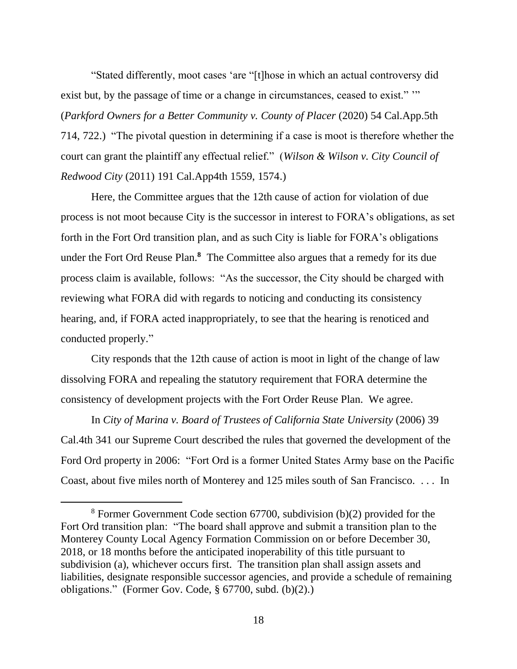"Stated differently, moot cases 'are "[t]hose in which an actual controversy did exist but, by the passage of time or a change in circumstances, ceased to exist." "" (*Parkford Owners for a Better Community v. County of Placer* (2020) 54 Cal.App.5th 714, 722.) "The pivotal question in determining if a case is moot is therefore whether the court can grant the plaintiff any effectual relief." (*Wilson & Wilson v. City Council of Redwood City* (2011) 191 Cal.App4th 1559, 1574.)

Here, the Committee argues that the 12th cause of action for violation of due process is not moot because City is the successor in interest to FORA's obligations, as set forth in the Fort Ord transition plan, and as such City is liable for FORA's obligations under the Fort Ord Reuse Plan.**<sup>8</sup>** The Committee also argues that a remedy for its due process claim is available, follows: "As the successor, the City should be charged with reviewing what FORA did with regards to noticing and conducting its consistency hearing, and, if FORA acted inappropriately, to see that the hearing is renoticed and conducted properly."

City responds that the 12th cause of action is moot in light of the change of law dissolving FORA and repealing the statutory requirement that FORA determine the consistency of development projects with the Fort Order Reuse Plan. We agree.

In *City of Marina v. Board of Trustees of California State University* (2006) 39 Cal.4th 341 our Supreme Court described the rules that governed the development of the Ford Ord property in 2006: "Fort Ord is a former United States Army base on the Pacific Coast, about five miles north of Monterey and 125 miles south of San Francisco. . . . In

<sup>8</sup> Former Government Code section 67700, subdivision (b)(2) provided for the Fort Ord transition plan: "The board shall approve and submit a transition plan to the Monterey County Local Agency Formation Commission on or before December 30, 2018, or 18 months before the anticipated inoperability of this title pursuant to subdivision (a), whichever occurs first. The transition plan shall assign assets and liabilities, designate responsible successor agencies, and provide a schedule of remaining obligations." (Former Gov. Code, § 67700, subd. (b)(2).)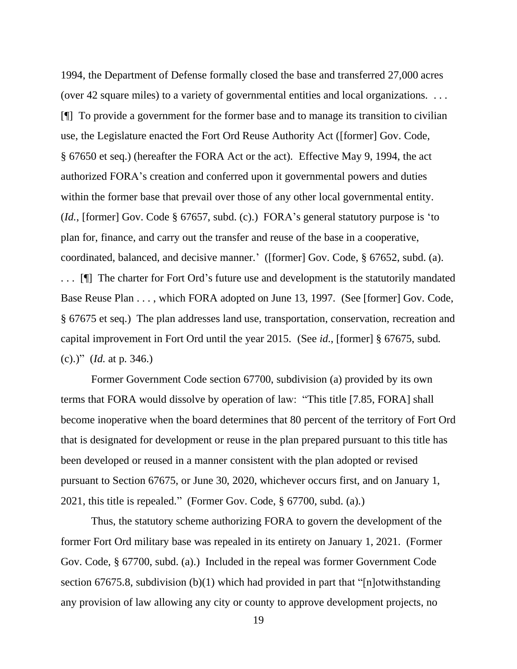1994, the Department of Defense formally closed the base and transferred 27,000 acres (over 42 square miles) to a variety of governmental entities and local organizations. . . . [¶] To provide a government for the former base and to manage its transition to civilian use, the Legislature enacted the Fort Ord Reuse Authority Act ([former] Gov. Code, § 67650 et seq.) (hereafter the FORA Act or the act). Effective May 9, 1994, the act authorized FORA's creation and conferred upon it governmental powers and duties within the former base that prevail over those of any other local governmental entity. (*Id.*, [former] Gov. Code § 67657, subd. (c).) FORA's general statutory purpose is 'to plan for, finance, and carry out the transfer and reuse of the base in a cooperative, coordinated, balanced, and decisive manner.' ([former] Gov. Code, § 67652, subd. (a). ... [I] The charter for Fort Ord's future use and development is the statutorily mandated Base Reuse Plan . . . , which FORA adopted on June 13, 1997. (See [former] Gov. Code, § 67675 et seq.) The plan addresses land use, transportation, conservation, recreation and capital improvement in Fort Ord until the year 2015. (See *id*., [former] § 67675, subd. (c).)" (*Id*. at p. 346.)

Former Government Code section 67700, subdivision (a) provided by its own terms that FORA would dissolve by operation of law: "This title [7.85, FORA] shall become inoperative when the board determines that 80 percent of the territory of Fort Ord that is designated for development or reuse in the plan prepared pursuant to this title has been developed or reused in a manner consistent with the plan adopted or revised pursuant to Section 67675, or June 30, 2020, whichever occurs first, and on January 1, 2021, this title is repealed." (Former Gov. Code, § 67700, subd. (a).)

Thus, the statutory scheme authorizing FORA to govern the development of the former Fort Ord military base was repealed in its entirety on January 1, 2021. (Former Gov. Code, § 67700, subd. (a).) Included in the repeal was former Government Code section 67675.8, subdivision (b)(1) which had provided in part that "[n]otwithstanding any provision of law allowing any city or county to approve development projects, no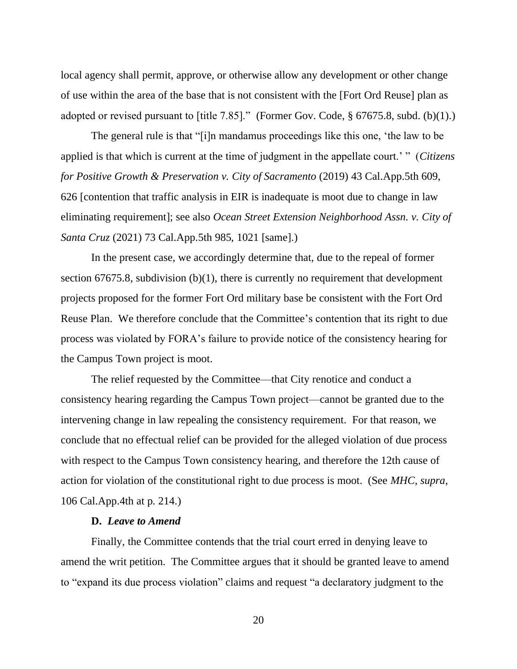local agency shall permit, approve, or otherwise allow any development or other change of use within the area of the base that is not consistent with the [Fort Ord Reuse] plan as adopted or revised pursuant to [title 7.85]." (Former Gov. Code, § 67675.8, subd. (b)(1).)

The general rule is that "[i]n mandamus proceedings like this one, 'the law to be applied is that which is current at the time of judgment in the appellate court.' " (*Citizens for Positive Growth & Preservation v. City of Sacramento* (2019) 43 Cal.App.5th 609, 626 [contention that traffic analysis in EIR is inadequate is moot due to change in law eliminating requirement]; see also *Ocean Street Extension Neighborhood Assn. v. City of Santa Cruz* (2021) 73 Cal.App.5th 985, 1021 [same].)

In the present case, we accordingly determine that, due to the repeal of former section 67675.8, subdivision (b)(1), there is currently no requirement that development projects proposed for the former Fort Ord military base be consistent with the Fort Ord Reuse Plan. We therefore conclude that the Committee's contention that its right to due process was violated by FORA's failure to provide notice of the consistency hearing for the Campus Town project is moot.

The relief requested by the Committee—that City renotice and conduct a consistency hearing regarding the Campus Town project—cannot be granted due to the intervening change in law repealing the consistency requirement. For that reason, we conclude that no effectual relief can be provided for the alleged violation of due process with respect to the Campus Town consistency hearing, and therefore the 12th cause of action for violation of the constitutional right to due process is moot. (See *MHC*, *supra*, 106 Cal.App.4th at p. 214.)

## **D.** *Leave to Amend*

Finally, the Committee contends that the trial court erred in denying leave to amend the writ petition. The Committee argues that it should be granted leave to amend to "expand its due process violation" claims and request "a declaratory judgment to the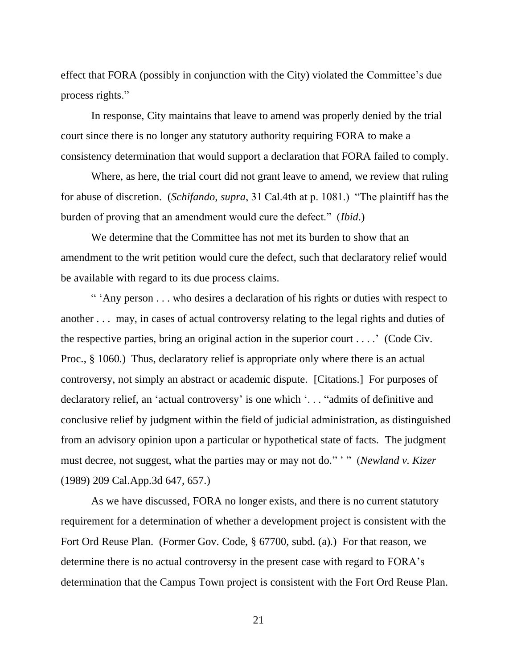effect that FORA (possibly in conjunction with the City) violated the Committee's due process rights."

In response, City maintains that leave to amend was properly denied by the trial court since there is no longer any statutory authority requiring FORA to make a consistency determination that would support a declaration that FORA failed to comply.

Where, as here, the trial court did not grant leave to amend, we review that ruling for abuse of discretion. (*Schifando*, *supra*, 31 Cal.4th at p. 1081.) "The plaintiff has the burden of proving that an amendment would cure the defect." (*Ibid*.)

We determine that the Committee has not met its burden to show that an amendment to the writ petition would cure the defect, such that declaratory relief would be available with regard to its due process claims.

" 'Any person . . . who desires a declaration of his rights or duties with respect to another . . . may, in cases of actual controversy relating to the legal rights and duties of the respective parties, bring an original action in the superior court  $\dots$ . (Code Civ. Proc., § 1060.) Thus, declaratory relief is appropriate only where there is an actual controversy, not simply an abstract or academic dispute. [Citations.] For purposes of declaratory relief, an 'actual controversy' is one which '. . . "admits of definitive and conclusive relief by judgment within the field of judicial administration, as distinguished from an advisory opinion upon a particular or hypothetical state of facts. The judgment must decree, not suggest, what the parties may or may not do." ' " (*Newland v. Kizer* (1989) 209 Cal.App.3d 647, 657.)

As we have discussed, FORA no longer exists, and there is no current statutory requirement for a determination of whether a development project is consistent with the Fort Ord Reuse Plan. (Former Gov. Code, § 67700, subd. (a).) For that reason, we determine there is no actual controversy in the present case with regard to FORA's determination that the Campus Town project is consistent with the Fort Ord Reuse Plan.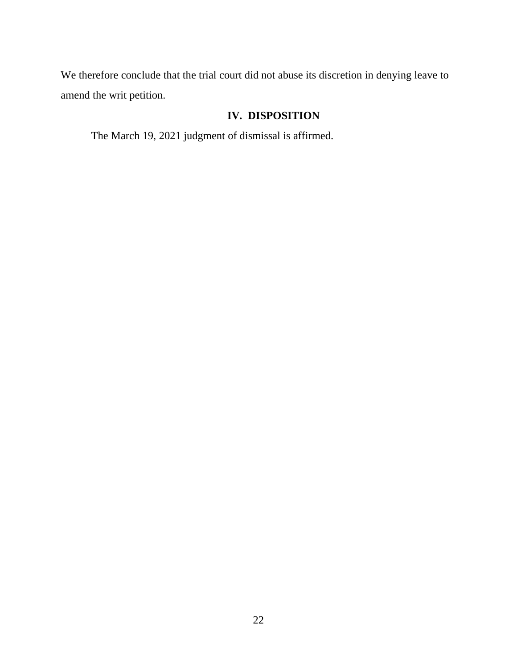We therefore conclude that the trial court did not abuse its discretion in denying leave to amend the writ petition.

## **IV. DISPOSITION**

The March 19, 2021 judgment of dismissal is affirmed.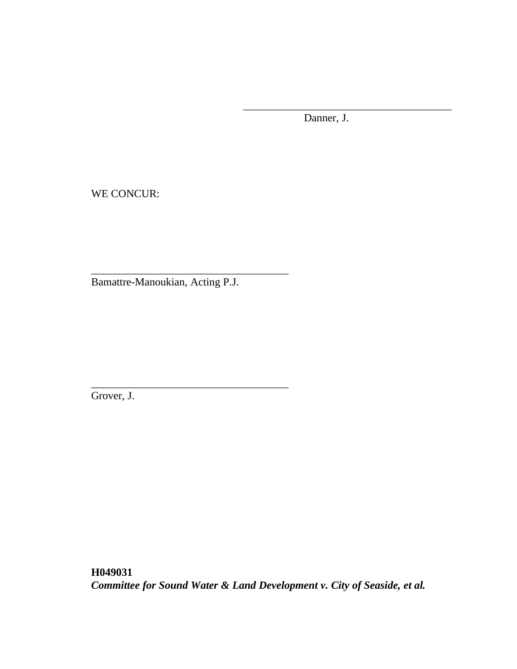Danner, J.

\_\_\_\_\_\_\_\_\_\_\_\_\_\_\_\_\_\_\_\_\_\_\_\_\_\_\_\_\_\_\_\_\_\_\_\_\_\_

WE CONCUR:

Bamattre-Manoukian, Acting P.J.

\_\_\_\_\_\_\_\_\_\_\_\_\_\_\_\_\_\_\_\_\_\_\_\_\_\_\_\_\_\_\_\_\_\_\_\_

\_\_\_\_\_\_\_\_\_\_\_\_\_\_\_\_\_\_\_\_\_\_\_\_\_\_\_\_\_\_\_\_\_\_\_\_

Grover, J.

**H049031** *Committee for Sound Water & Land Development v. City of Seaside, et al.*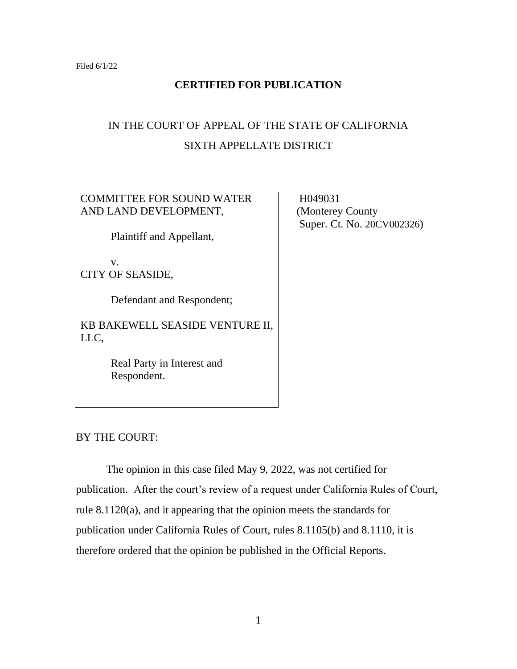## **CERTIFIED FOR PUBLICATION**

# IN THE COURT OF APPEAL OF THE STATE OF CALIFORNIA SIXTH APPELLATE DISTRICT

COMMITTEE FOR SOUND WATER AND LAND DEVELOPMENT,

Plaintiff and Appellant,

v. CITY OF SEASIDE,

Defendant and Respondent;

KB BAKEWELL SEASIDE VENTURE II, LLC,

> Real Party in Interest and Respondent.

 H049031 (Monterey County Super. Ct. No. 20CV002326)

BY THE COURT:

The opinion in this case filed May 9, 2022, was not certified for publication. After the court's review of a request under California Rules of Court, rule 8.1120(a), and it appearing that the opinion meets the standards for publication under California Rules of Court, rules 8.1105(b) and 8.1110, it is therefore ordered that the opinion be published in the Official Reports.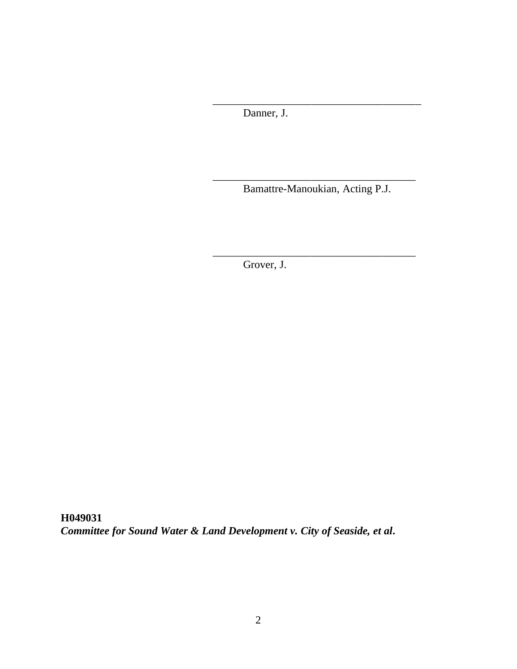Danner, J.

\_\_\_\_\_\_\_\_\_\_\_\_\_\_\_\_\_\_\_\_\_\_\_\_\_\_\_\_\_\_\_\_\_\_\_\_\_ Bamattre-Manoukian, Acting P.J.

\_\_\_\_\_\_\_\_\_\_\_\_\_\_\_\_\_\_\_\_\_\_\_\_\_\_\_\_\_\_\_\_\_\_\_\_\_

\_\_\_\_\_\_\_\_\_\_\_\_\_\_\_\_\_\_\_\_\_\_\_\_\_\_\_\_\_\_\_\_\_\_\_\_\_\_

Grover, J.

**H049031** *Committee for Sound Water & Land Development v. City of Seaside, et al.*